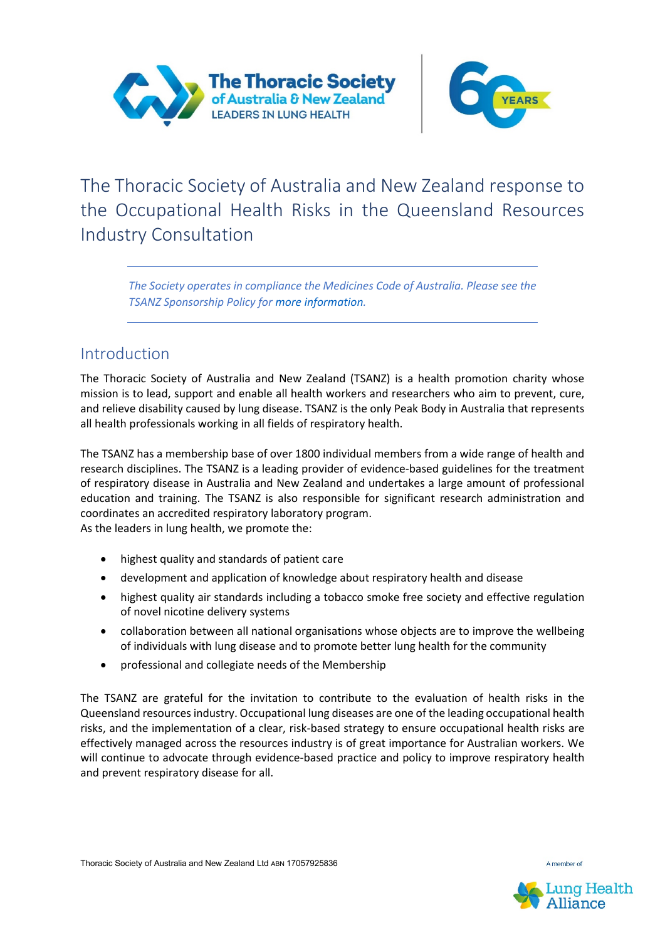

The Thoracic Society of Australia and New Zealand response to the Occupational Health Risks in the Queensland Resources Industry Consultation

*The Society operates in compliance the Medicines Code of Australia. Please see the TSANZ Sponsorship Policy for more information.*

# Introduction

The Thoracic Society of Australia and New Zealand (TSANZ) is a health promotion charity whose mission is to lead, support and enable all health workers and researchers who aim to prevent, cure, and relieve disability caused by lung disease. TSANZ is the only Peak Body in Australia that represents all health professionals working in all fields of respiratory health.

The TSANZ has a membership base of over 1800 individual members from a wide range of health and research disciplines. The TSANZ is a leading provider of evidence-based guidelines for the treatment of respiratory disease in Australia and New Zealand and undertakes a large amount of professional education and training. The TSANZ is also responsible for significant research administration and coordinates an accredited respiratory laboratory program.

As the leaders in lung health, we promote the:

- highest quality and standards of patient care
- development and application of knowledge about respiratory health and disease
- highest quality air standards including a tobacco smoke free society and effective regulation of novel nicotine delivery systems
- collaboration between all national organisations whose objects are to improve the wellbeing of individuals with lung disease and to promote better lung health for the community
- professional and collegiate needs of the Membership

The TSANZ are grateful for the invitation to contribute to the evaluation of health risks in the Queensland resources industry. Occupational lung diseases are one of the leading occupational health risks, and the implementation of a clear, risk-based strategy to ensure occupational health risks are effectively managed across the resources industry is of great importance for Australian workers. We will continue to advocate through evidence-based practice and policy to improve respiratory health and prevent respiratory disease for all.

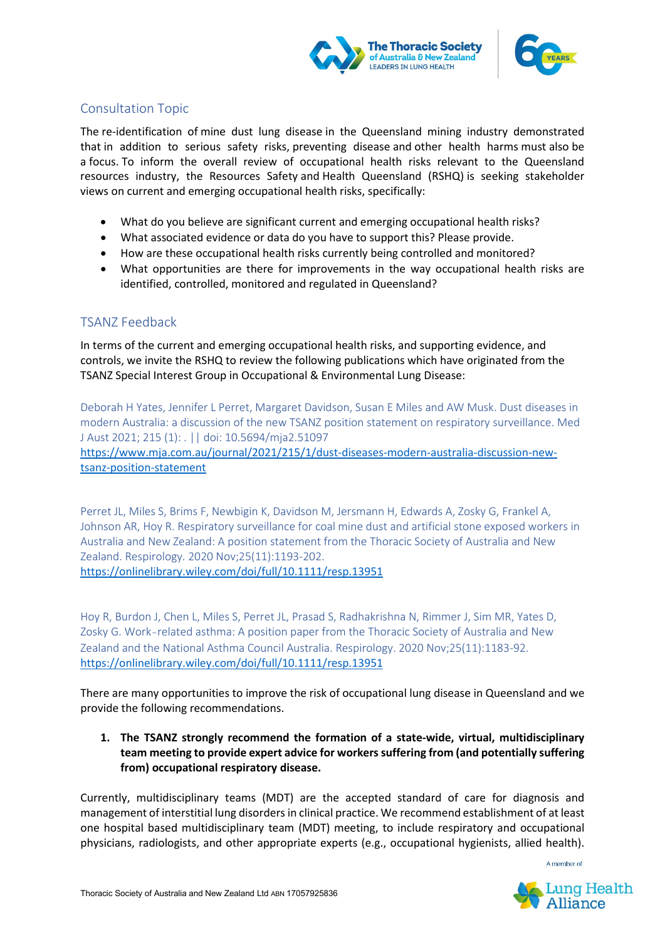



# Consultation Topic

The re-identification of mine dust lung disease in the Queensland mining industry demonstrated that in addition to serious safety risks, preventing disease and other health harms must also be a focus. To inform the overall review of occupational health risks relevant to the Queensland resources industry, the Resources Safety and Health Queensland (RSHQ) is seeking stakeholder views on current and emerging occupational health risks, specifically:

- What do you believe are significant current and emerging occupational health risks?
- What associated evidence or data do you have to support this? Please provide.
- How are these occupational health risks currently being controlled and monitored?
- What opportunities are there for improvements in the way occupational health risks are identified, controlled, monitored and regulated in Queensland?

# TSANZ Feedback

In terms of the current and emerging occupational health risks, and supporting evidence, and controls, we invite the RSHQ to review the following publications which have originated from the TSANZ Special Interest Group in Occupational & Environmental Lung Disease:

Deborah H Yates, Jennifer L Perret, Margaret Davidson, Susan E Miles and AW Musk. Dust diseases in modern Australia: a discussion of the new TSANZ position statement on respiratory surveillance. Med J Aust 2021; 215 (1): . || doi: 10.5694/mja2.51097 [https://www.mja.com.au/journal/2021/215/1/dust-diseases-modern-australia-discussion-new](https://www.mja.com.au/journal/2021/215/1/dust-diseases-modern-australia-discussion-new-tsanz-position-statement)[tsanz-position-statement](https://www.mja.com.au/journal/2021/215/1/dust-diseases-modern-australia-discussion-new-tsanz-position-statement)

Perret JL, Miles S, Brims F, Newbigin K, Davidson M, Jersmann H, Edwards A, Zosky G, Frankel A, Johnson AR, Hoy R. Respiratory surveillance for coal mine dust and artificial stone exposed workers in Australia and New Zealand: A position statement from the Thoracic Society of Australia and New Zealand. Respirology. 2020 Nov;25(11):1193-202. <https://onlinelibrary.wiley.com/doi/full/10.1111/resp.13951>

Hoy R, Burdon J, Chen L, Miles S, Perret JL, Prasad S, Radhakrishna N, Rimmer J, Sim MR, Yates D, Zosky G. Work‐related asthma: A position paper from the Thoracic Society of Australia and New Zealand and the National Asthma Council Australia. Respirology. 2020 Nov;25(11):1183-92. <https://onlinelibrary.wiley.com/doi/full/10.1111/resp.13951>

There are many opportunities to improve the risk of occupational lung disease in Queensland and we provide the following recommendations.

## **1. The TSANZ strongly recommend the formation of a state-wide, virtual, multidisciplinary team meeting to provide expert advice for workers suffering from (and potentially suffering from) occupational respiratory disease.**

Currently, multidisciplinary teams (MDT) are the accepted standard of care for diagnosis and management of interstitial lung disordersin clinical practice. We recommend establishment of at least one hospital based multidisciplinary team (MDT) meeting, to include respiratory and occupational physicians, radiologists, and other appropriate experts (e.g., occupational hygienists, allied health).

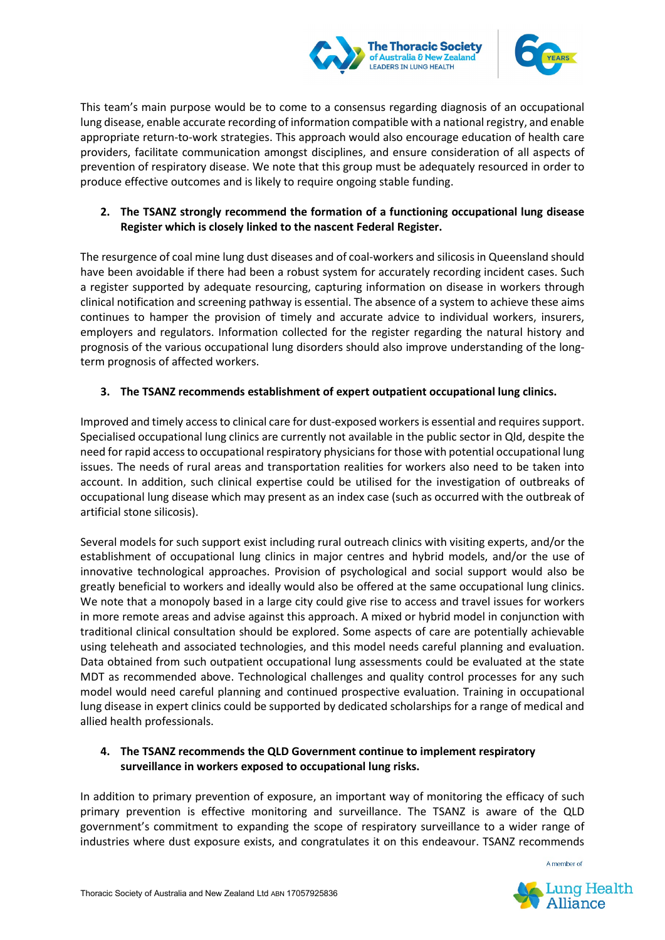



This team's main purpose would be to come to a consensus regarding diagnosis of an occupational lung disease, enable accurate recording of information compatible with a national registry, and enable appropriate return-to-work strategies. This approach would also encourage education of health care providers, facilitate communication amongst disciplines, and ensure consideration of all aspects of prevention of respiratory disease. We note that this group must be adequately resourced in order to produce effective outcomes and is likely to require ongoing stable funding.

## **2. The TSANZ strongly recommend the formation of a functioning occupational lung disease Register which is closely linked to the nascent Federal Register.**

The resurgence of coal mine lung dust diseases and of coal-workers and silicosis in Queensland should have been avoidable if there had been a robust system for accurately recording incident cases. Such a register supported by adequate resourcing, capturing information on disease in workers through clinical notification and screening pathway is essential. The absence of a system to achieve these aims continues to hamper the provision of timely and accurate advice to individual workers, insurers, employers and regulators. Information collected for the register regarding the natural history and prognosis of the various occupational lung disorders should also improve understanding of the longterm prognosis of affected workers.

#### **3. The TSANZ recommends establishment of expert outpatient occupational lung clinics.**

Improved and timely access to clinical care for dust-exposed workers is essential and requires support. Specialised occupational lung clinics are currently not available in the public sector in Qld, despite the need for rapid access to occupational respiratory physicians for those with potential occupational lung issues. The needs of rural areas and transportation realities for workers also need to be taken into account. In addition, such clinical expertise could be utilised for the investigation of outbreaks of occupational lung disease which may present as an index case (such as occurred with the outbreak of artificial stone silicosis).

Several models for such support exist including rural outreach clinics with visiting experts, and/or the establishment of occupational lung clinics in major centres and hybrid models, and/or the use of innovative technological approaches. Provision of psychological and social support would also be greatly beneficial to workers and ideally would also be offered at the same occupational lung clinics. We note that a monopoly based in a large city could give rise to access and travel issues for workers in more remote areas and advise against this approach. A mixed or hybrid model in conjunction with traditional clinical consultation should be explored. Some aspects of care are potentially achievable using teleheath and associated technologies, and this model needs careful planning and evaluation. Data obtained from such outpatient occupational lung assessments could be evaluated at the state MDT as recommended above. Technological challenges and quality control processes for any such model would need careful planning and continued prospective evaluation. Training in occupational lung disease in expert clinics could be supported by dedicated scholarships for a range of medical and allied health professionals.

## **4. The TSANZ recommends the QLD Government continue to implement respiratory surveillance in workers exposed to occupational lung risks.**

In addition to primary prevention of exposure, an important way of monitoring the efficacy of such primary prevention is effective monitoring and surveillance. The TSANZ is aware of the QLD government's commitment to expanding the scope of respiratory surveillance to a wider range of industries where dust exposure exists, and congratulates it on this endeavour. TSANZ recommends